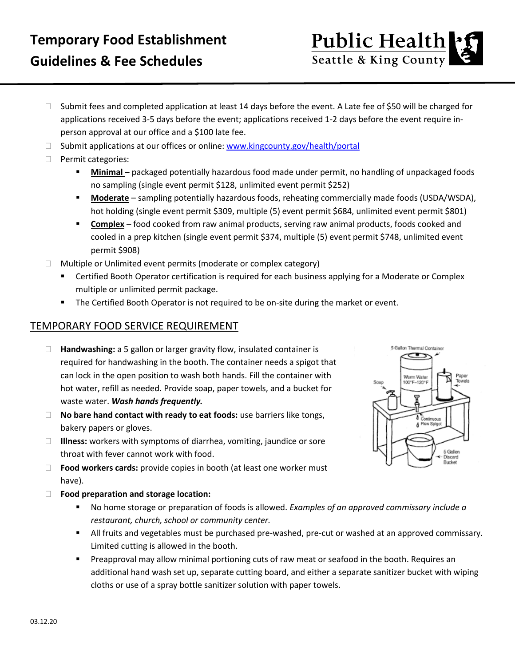## **Temporary Food Establishment Guidelines & Fee Schedules**

- □ Submit fees and completed application at least 14 days before the event. A Late fee of \$50 will be charged for applications received 3-5 days before the event; applications received 1-2 days before the event require inperson approval at our office and a \$100 late fee.
- $\Box$  Submit applications at our offices or online: [www.kingcounty.gov/health/portal](http://www.kingcounty.gov/health/portal)
- **Permit categories:** 
	- **Minimal** packaged potentially hazardous food made under permit, no handling of unpackaged foods no sampling (single event permit \$128, unlimited event permit \$252)
	- **Moderate** sampling potentially hazardous foods, reheating commercially made foods (USDA/WSDA), hot holding (single event permit \$309, multiple (5) event permit \$684, unlimited event permit \$801)
	- **Complex** food cooked from raw animal products, serving raw animal products, foods cooked and cooled in a prep kitchen (single event permit \$374, multiple (5) event permit \$748, unlimited event permit \$908)
- $\Box$  Multiple or Unlimited event permits (moderate or complex category)
	- **EXP** Certified Booth Operator certification is required for each business applying for a Moderate or Complex multiple or unlimited permit package.
	- **The Certified Booth Operator is not required to be on-site during the market or event.**

## TEMPORARY FOOD SERVICE REQUIREMENT

- **Handwashing:** a 5 gallon or larger gravity flow, insulated container is required for handwashing in the booth. The container needs a spigot that can lock in the open position to wash both hands. Fill the container with hot water, refill as needed. Provide soap, paper towels, and a bucket for waste water. *Wash hands frequently.*
- □ **No bare hand contact with ready to eat foods:** use barriers like tongs, bakery papers or gloves.
- **Illness:** workers with symptoms of diarrhea, vomiting, jaundice or sore throat with fever cannot work with food.
- □ **Food workers cards:** provide copies in booth (at least one worker must have).
- **Food preparation and storage location:**
	- No home storage or preparation of foods is allowed. *Examples of an approved commissary include a restaurant, church, school or community center.*
	- All fruits and vegetables must be purchased pre-washed, pre-cut or washed at an approved commissary. Limited cutting is allowed in the booth.
	- **Preapproval may allow minimal portioning cuts of raw meat or seafood in the booth. Requires an** additional hand wash set up, separate cutting board, and either a separate sanitizer bucket with wiping cloths or use of a spray bottle sanitizer solution with paper towels.